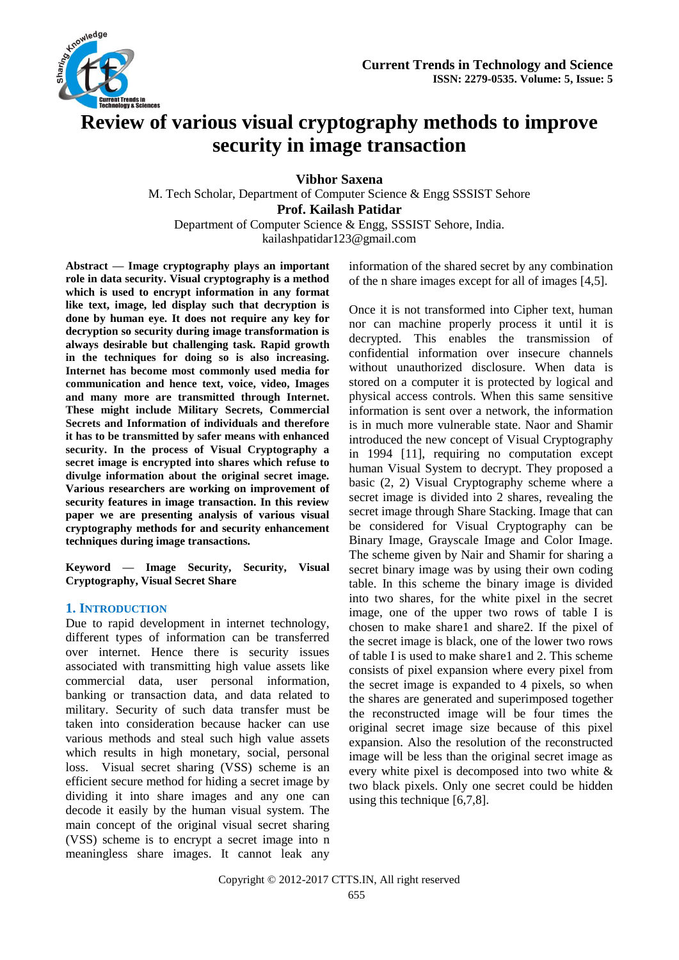

# **Review of various visual cryptography methods to improve security in image transaction**

**Vibhor Saxena**

M. Tech Scholar, Department of Computer Science & Engg SSSIST Sehore **Prof. Kailash Patidar**

Department of Computer Science & Engg, SSSIST Sehore, India. [kailashpatidar123@gmail.com](mailto:kailashpatidar123@gmail.com)

**Abstract — Image cryptography plays an important role in data security. Visual cryptography is a method which is used to encrypt information in any format like text, image, led display such that decryption is done by human eye. It does not require any key for decryption so security during image transformation is always desirable but challenging task. Rapid growth in the techniques for doing so is also increasing. Internet has become most commonly used media for communication and hence text, voice, video, Images and many more are transmitted through Internet. These might include Military Secrets, Commercial Secrets and Information of individuals and therefore it has to be transmitted by safer means with enhanced security. In the process of Visual Cryptography a secret image is encrypted into shares which refuse to divulge information about the original secret image. Various researchers are working on improvement of security features in image transaction. In this review paper we are presenting analysis of various visual cryptography methods for and security enhancement techniques during image transactions.**

**Keyword — Image Security, Security, Visual Cryptography, Visual Secret Share**

#### **1. INTRODUCTION**

Due to rapid development in internet technology, different types of information can be transferred over internet. Hence there is security issues associated with transmitting high value assets like commercial data, user personal information, banking or transaction data, and data related to military. Security of such data transfer must be taken into consideration because hacker can use various methods and steal such high value assets which results in high monetary, social, personal loss. Visual secret sharing (VSS) scheme is an efficient secure method for hiding a secret image by dividing it into share images and any one can decode it easily by the human visual system. The main concept of the original visual secret sharing (VSS) scheme is to encrypt a secret image into n meaningless share images. It cannot leak any information of the shared secret by any combination of the n share images except for all of images [4,5].

Once it is not transformed into Cipher text, human nor can machine properly process it until it is decrypted. This enables the transmission of confidential information over insecure channels without unauthorized disclosure. When data is stored on a computer it is protected by logical and physical access controls. When this same sensitive information is sent over a network, the information is in much more vulnerable state. Naor and Shamir introduced the new concept of Visual Cryptography in 1994 [11], requiring no computation except human Visual System to decrypt. They proposed a basic (2, 2) Visual Cryptography scheme where a secret image is divided into 2 shares, revealing the secret image through Share Stacking. Image that can be considered for Visual Cryptography can be Binary Image, Grayscale Image and Color Image. The scheme given by Nair and Shamir for sharing a secret binary image was by using their own coding table. In this scheme the binary image is divided into two shares, for the white pixel in the secret image, one of the upper two rows of table I is chosen to make share1 and share2. If the pixel of the secret image is black, one of the lower two rows of table I is used to make share1 and 2. This scheme consists of pixel expansion where every pixel from the secret image is expanded to 4 pixels, so when the shares are generated and superimposed together the reconstructed image will be four times the original secret image size because of this pixel expansion. Also the resolution of the reconstructed image will be less than the original secret image as every white pixel is decomposed into two white & two black pixels. Only one secret could be hidden using this technique [6,7,8].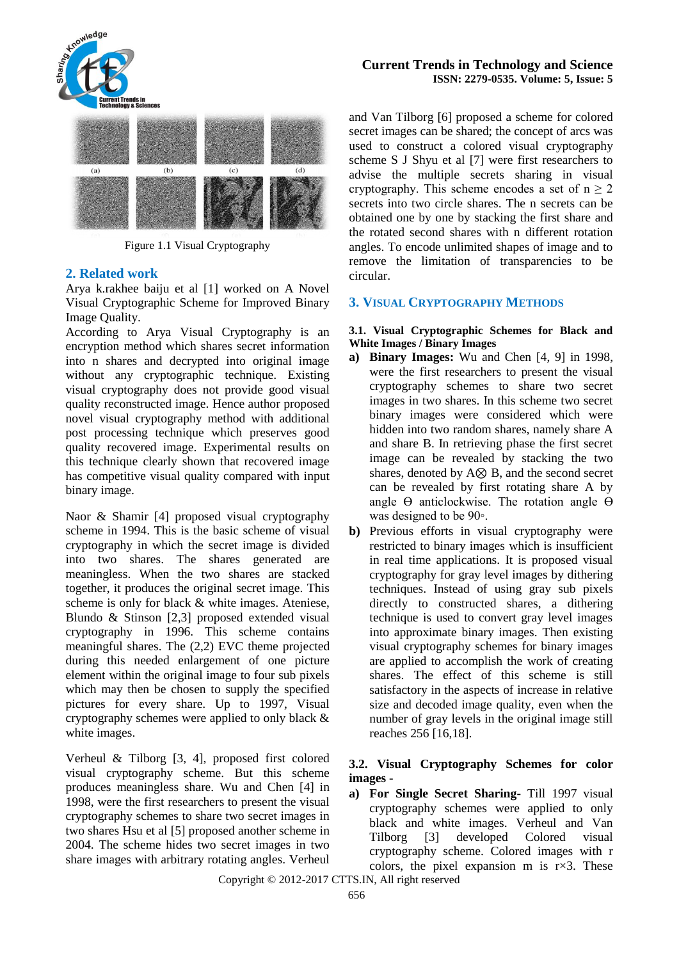

Figure 1.1 Visual Cryptography

## **2. Related work**

Arya k.rakhee baiju et al [1] worked on A Novel Visual Cryptographic Scheme for Improved Binary Image Quality.

According to Arya Visual Cryptography is an encryption method which shares secret information into n shares and decrypted into original image without any cryptographic technique. Existing visual cryptography does not provide good visual quality reconstructed image. Hence author proposed novel visual cryptography method with additional post processing technique which preserves good quality recovered image. Experimental results on this technique clearly shown that recovered image has competitive visual quality compared with input binary image.

Naor & Shamir [4] proposed visual cryptography scheme in 1994. This is the basic scheme of visual cryptography in which the secret image is divided into two shares. The shares generated are meaningless. When the two shares are stacked together, it produces the original secret image. This scheme is only for black & white images. Ateniese, Blundo & Stinson [2,3] proposed extended visual cryptography in 1996. This scheme contains meaningful shares. The (2,2) EVC theme projected during this needed enlargement of one picture element within the original image to four sub pixels which may then be chosen to supply the specified pictures for every share. Up to 1997, Visual cryptography schemes were applied to only black & white images.

Verheul & Tilborg [3, 4], proposed first colored visual cryptography scheme. But this scheme produces meaningless share. Wu and Chen [4] in 1998, were the first researchers to present the visual cryptography schemes to share two secret images in two shares Hsu et al [5] proposed another scheme in 2004. The scheme hides two secret images in two share images with arbitrary rotating angles. Verheul

#### **Current Trends in Technology and Science ISSN: 2279-0535. Volume: 5, Issue: 5**

and Van Tilborg [6] proposed a scheme for colored secret images can be shared; the concept of arcs was used to construct a colored visual cryptography scheme S J Shyu et al [7] were first researchers to advise the multiple secrets sharing in visual cryptography. This scheme encodes a set of  $n \ge 2$ secrets into two circle shares. The n secrets can be obtained one by one by stacking the first share and the rotated second shares with n different rotation angles. To encode unlimited shapes of image and to remove the limitation of transparencies to be circular.

## **3. VISUAL CRYPTOGRAPHY METHODS**

#### **3.1. Visual Cryptographic Schemes for Black and White Images / Binary Images**

- **a) Binary Images:** Wu and Chen [4, 9] in 1998, were the first researchers to present the visual cryptography schemes to share two secret images in two shares. In this scheme two secret binary images were considered which were hidden into two random shares, namely share A and share B. In retrieving phase the first secret image can be revealed by stacking the two shares, denoted by A⊗ B, and the second secret can be revealed by first rotating share A by angle  $\Theta$  anticlockwise. The rotation angle  $\Theta$ was designed to be 90◦.
- **b)** Previous efforts in visual cryptography were restricted to binary images which is insufficient in real time applications. It is proposed visual cryptography for gray level images by dithering techniques. Instead of using gray sub pixels directly to constructed shares, a dithering technique is used to convert gray level images into approximate binary images. Then existing visual cryptography schemes for binary images are applied to accomplish the work of creating shares. The effect of this scheme is still satisfactory in the aspects of increase in relative size and decoded image quality, even when the number of gray levels in the original image still reaches 256 [16,18].

#### **3.2. Visual Cryptography Schemes for color images -**

**a) For Single Secret Sharing-** Till 1997 visual cryptography schemes were applied to only black and white images. Verheul and Van Tilborg [3] developed Colored visual cryptography scheme. Colored images with r colors, the pixel expansion m is r×3. These

Copyright © 2012-2017 CTTS.IN, All right reserved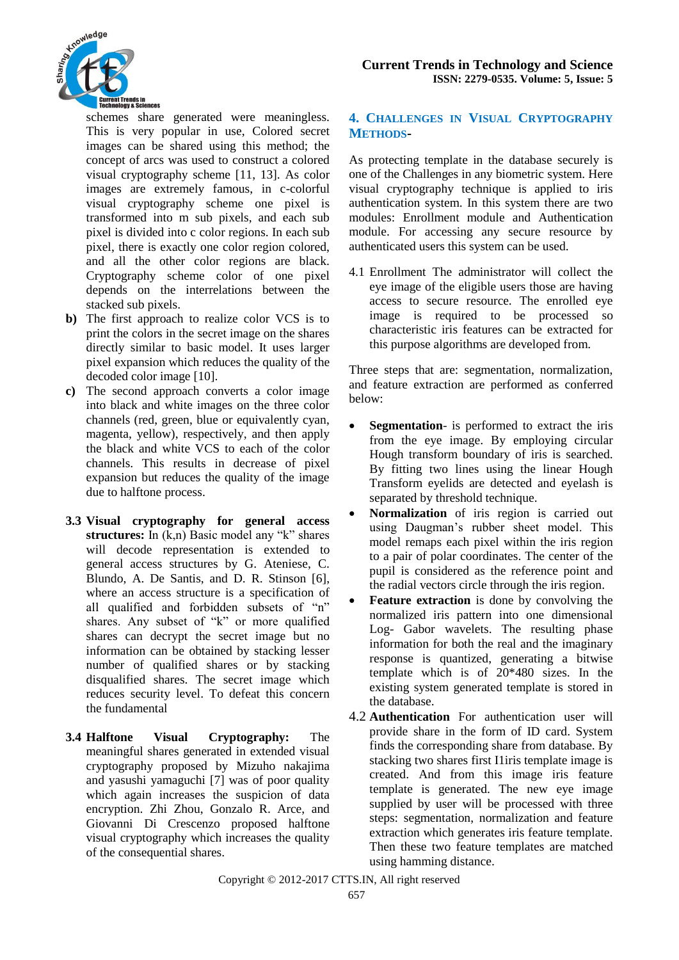

schemes share generated were meaningless. This is very popular in use, Colored secret images can be shared using this method; the concept of arcs was used to construct a colored visual cryptography scheme [11, 13]. As color images are extremely famous, in c-colorful visual cryptography scheme one pixel is transformed into m sub pixels, and each sub pixel is divided into c color regions. In each sub pixel, there is exactly one color region colored, and all the other color regions are black. Cryptography scheme color of one pixel depends on the interrelations between the stacked sub pixels.

- **b)** The first approach to realize color VCS is to print the colors in the secret image on the shares directly similar to basic model. It uses larger pixel expansion which reduces the quality of the decoded color image [10].
- **c)** The second approach converts a color image into black and white images on the three color channels (red, green, blue or equivalently cyan, magenta, yellow), respectively, and then apply the black and white VCS to each of the color channels. This results in decrease of pixel expansion but reduces the quality of the image due to halftone process.
- **3.3 Visual cryptography for general access structures:** In (k,n) Basic model any "k" shares will decode representation is extended to general access structures by G. Ateniese, C. Blundo, A. De Santis, and D. R. Stinson [6], where an access structure is a specification of all qualified and forbidden subsets of "n" shares. Any subset of "k" or more qualified shares can decrypt the secret image but no information can be obtained by stacking lesser number of qualified shares or by stacking disqualified shares. The secret image which reduces security level. To defeat this concern the fundamental
- **3.4 Halftone Visual Cryptography:** The meaningful shares generated in extended visual cryptography proposed by Mizuho nakajima and yasushi yamaguchi [7] was of poor quality which again increases the suspicion of data encryption. Zhi Zhou, Gonzalo R. Arce, and Giovanni Di Crescenzo proposed halftone visual cryptography which increases the quality of the consequential shares.

## **4. CHALLENGES IN VISUAL CRYPTOGRAPHY METHODS-**

As protecting template in the database securely is one of the Challenges in any biometric system. Here visual cryptography technique is applied to iris authentication system. In this system there are two modules: Enrollment module and Authentication module. For accessing any secure resource by authenticated users this system can be used.

4.1 Enrollment The administrator will collect the eye image of the eligible users those are having access to secure resource. The enrolled eye image is required to be processed so characteristic iris features can be extracted for this purpose algorithms are developed from.

Three steps that are: segmentation, normalization, and feature extraction are performed as conferred below:

- **Segmentation** is performed to extract the iris from the eye image. By employing circular Hough transform boundary of iris is searched. By fitting two lines using the linear Hough Transform eyelids are detected and eyelash is separated by threshold technique.
- **Normalization** of iris region is carried out using Daugman's rubber sheet model. This model remaps each pixel within the iris region to a pair of polar coordinates. The center of the pupil is considered as the reference point and the radial vectors circle through the iris region.
- **Feature extraction** is done by convolving the normalized iris pattern into one dimensional Log- Gabor wavelets. The resulting phase information for both the real and the imaginary response is quantized, generating a bitwise template which is of 20\*480 sizes. In the existing system generated template is stored in the database.
- 4.2 **Authentication** For authentication user will provide share in the form of ID card. System finds the corresponding share from database. By stacking two shares first I1iris template image is created. And from this image iris feature template is generated. The new eye image supplied by user will be processed with three steps: segmentation, normalization and feature extraction which generates iris feature template. Then these two feature templates are matched using hamming distance.

Copyright © 2012-2017 CTTS.IN, All right reserved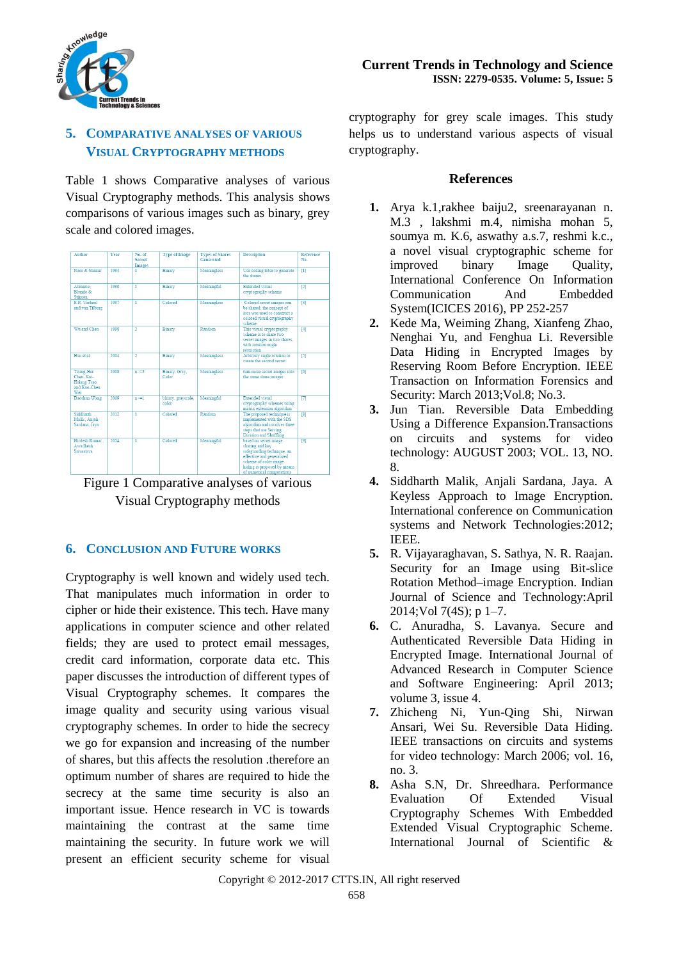

# **5. COMPARATIVE ANALYSES OF VARIOUS VISUAL CRYPTOGRAPHY METHODS**

Table 1 shows Comparative analyses of various Visual Cryptography methods. This analysis shows comparisons of various images such as binary, grey scale and colored images.

| Author                                                        | <b>Year</b> | No. of<br>Secret<br>Images | <b>Type of Image</b>        | <b>Types of Shares</b><br>Generated | Description                                                                                                                                                                              | Reference<br>No. |
|---------------------------------------------------------------|-------------|----------------------------|-----------------------------|-------------------------------------|------------------------------------------------------------------------------------------------------------------------------------------------------------------------------------------|------------------|
| Naor & Shamir                                                 | 1994        |                            | <b>Binary</b>               | Meaningless                         | Use coding table to generate<br>the shares                                                                                                                                               | $\overline{[1]}$ |
| Ateniese.<br>Blundo &<br>Stinson                              | 1996        | 1                          | Binary                      | Meaningful                          | Extended visual<br>cryptography scheme                                                                                                                                                   | $\overline{121}$ |
| E.R. Verheul<br>and van Tilborg                               | 1997        |                            | Colored                     | Meaningless                         | Colored secret images can<br>be shared: the concept of<br>arcs was used to construct a<br>colored visual cryptography<br>scheme.                                                         | 131              |
| Wu and Chen                                                   | 1998        | $\overline{\mathbf{2}}$    | <b>Binary</b>               | Random                              | This visual cryptography<br>scheme is to share two<br>secret images in two shares,<br>with rotation angle<br>restriction                                                                 | [4]              |
| Hsu et al                                                     | 2004        | 2                          | <b>Binary</b>               | Meaningless                         | Arbitrary angle rotation to<br>create the second secret.                                                                                                                                 | 51               |
| Tzung-Her<br>Chen Kai-<br>Hsiang Tsao.<br>and Kuo-Chen<br>Wei | 2008        | $n = 2$                    | Binary, Gray,<br>Color      | Meaningless                         | turn more secret images into<br>the same share images                                                                                                                                    | $f$ $f$ $f$ $f$  |
| Daoshun Wang                                                  | 2009        | $n = 1$                    | binary, grayscale,<br>color | Meaningful                          | Extended visual<br>cryptography schemes using<br>matrix extension algorithm                                                                                                              | T71              |
| Siddharth<br>Malik, Anjali<br>Sardana, Java                   | 2012        | 1                          | Colored                     | Random                              | The proposed technique is<br>implemented with the SDS<br>algorithm and involves three<br>steps that are Seiving.<br>Division and Shuffling                                               | r <sub>1</sub>   |
| Hirdesh Kumar.<br>Awadhesh<br>Srivastava                      | 2014        | 1                          | Colored                     | Meaningful                          | based on secret image<br>sharing and key<br>safeguarding technique, an<br>effective and generalized<br>scheme of color image<br>hiding is proposed by means<br>of numerical computations | [9]              |



# **6. CONCLUSION AND FUTURE WORKS**

Cryptography is well known and widely used tech. That manipulates much information in order to cipher or hide their existence. This tech. Have many applications in computer science and other related fields; they are used to protect email messages, credit card information, corporate data etc. This paper discusses the introduction of different types of Visual Cryptography schemes. It compares the image quality and security using various visual cryptography schemes. In order to hide the secrecy we go for expansion and increasing of the number of shares, but this affects the resolution .therefore an optimum number of shares are required to hide the secrecy at the same time security is also an important issue. Hence research in VC is towards maintaining the contrast at the same time maintaining the security. In future work we will present an efficient security scheme for visual cryptography for grey scale images. This study helps us to understand various aspects of visual cryptography.

## **References**

- **1.** Arya k.1,rakhee baiju2, sreenarayanan n. M.3 , lakshmi m.4, nimisha mohan 5, soumya m. K.6, aswathy a.s.7, reshmi k.c., a novel visual cryptographic scheme for improved binary Image Quality, International Conference On Information Communication And Embedded System(ICICES 2016), PP 252-257
- **2.** Kede Ma, Weiming Zhang, Xianfeng Zhao, Nenghai Yu, and Fenghua Li. Reversible Data Hiding in Encrypted Images by Reserving Room Before Encryption. IEEE Transaction on Information Forensics and Security: March 2013;Vol.8; No.3.
- **3.** Jun Tian. Reversible Data Embedding Using a Difference Expansion.Transactions on circuits and systems for video technology: AUGUST 2003; VOL. 13, NO. 8.
- **4.** Siddharth Malik, Anjali Sardana, Jaya. A Keyless Approach to Image Encryption. International conference on Communication systems and Network Technologies:2012; IEEE.
- **5.** R. Vijayaraghavan, S. Sathya, N. R. Raajan. Security for an Image using Bit-slice Rotation Method–image Encryption. Indian Journal of Science and Technology:April 2014;Vol 7(4S); p 1–7.
- **6.** C. Anuradha, S. Lavanya. Secure and Authenticated Reversible Data Hiding in Encrypted Image. International Journal of Advanced Research in Computer Science and Software Engineering: April 2013; volume 3, issue 4.
- **7.** Zhicheng Ni, Yun-Qing Shi, Nirwan Ansari, Wei Su. Reversible Data Hiding. IEEE transactions on circuits and systems for video technology: March 2006; vol. 16, no. 3.
- **8.** Asha S.N, Dr. Shreedhara. Performance Evaluation Of Extended Visual Cryptography Schemes With Embedded Extended Visual Cryptographic Scheme. International Journal of Scientific &